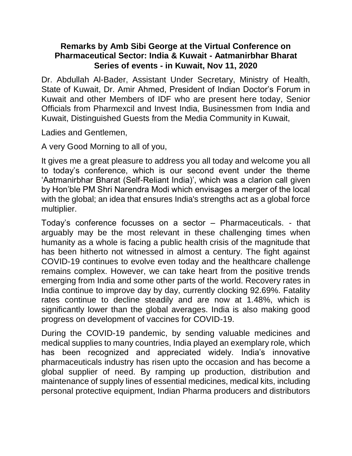## **Remarks by Amb Sibi George at the Virtual Conference on Pharmaceutical Sector: India & Kuwait - Aatmanirbhar Bharat Series of events - in Kuwait, Nov 11, 2020**

Dr. Abdullah Al-Bader, Assistant Under Secretary, Ministry of Health, State of Kuwait, Dr. Amir Ahmed, President of Indian Doctor's Forum in Kuwait and other Members of IDF who are present here today, Senior Officials from Pharmexcil and Invest India, Businessmen from India and Kuwait, Distinguished Guests from the Media Community in Kuwait,

Ladies and Gentlemen,

A very Good Morning to all of you,

It gives me a great pleasure to address you all today and welcome you all to today's conference, which is our second event under the theme 'Aatmanirbhar Bharat (Self-Reliant India)', which was a clarion call given by Hon'ble PM Shri Narendra Modi which envisages a merger of the local with the global; an idea that ensures India's strengths act as a global force multiplier.

Today's conference focusses on a sector – Pharmaceuticals. - that arguably may be the most relevant in these challenging times when humanity as a whole is facing a public health crisis of the magnitude that has been hitherto not witnessed in almost a century. The fight against COVID-19 continues to evolve even today and the healthcare challenge remains complex. However, we can take heart from the positive trends emerging from India and some other parts of the world. Recovery rates in India continue to improve day by day, currently clocking 92.69%. Fatality rates continue to decline steadily and are now at 1.48%, which is significantly lower than the global averages. India is also making good progress on development of vaccines for COVID-19.

During the COVID-19 pandemic, by sending valuable medicines and medical supplies to many countries, India played an exemplary role, which has been recognized and appreciated widely. India's innovative pharmaceuticals industry has risen upto the occasion and has become a global supplier of need. By ramping up production, distribution and maintenance of supply lines of essential medicines, medical kits, including personal protective equipment, Indian Pharma producers and distributors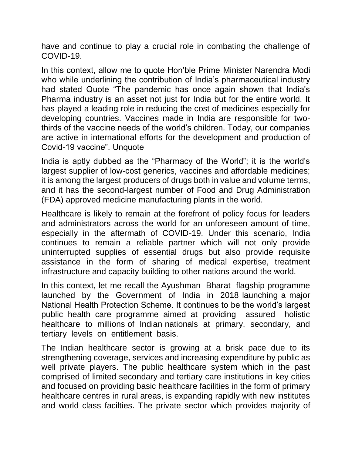have and continue to play a crucial role in combating the challenge of COVID-19.

In this context, allow me to quote Hon'ble Prime Minister Narendra Modi who while underlining the contribution of India's pharmaceutical industry had stated Quote "The pandemic has once again shown that India's Pharma industry is an asset not just for India but for the entire world. It has played a leading role in reducing the cost of medicines especially for developing countries. Vaccines made in India are responsible for twothirds of the vaccine needs of the world's children. Today, our companies are active in international efforts for the development and production of Covid-19 vaccine". Unquote

India is aptly dubbed as the "Pharmacy of the World"; it is the world's largest supplier of low-cost generics, vaccines and affordable medicines; it is among the largest producers of drugs both in value and volume terms, and it has the second-largest number of Food and Drug Administration (FDA) approved medicine manufacturing plants in the world.

Healthcare is likely to remain at the forefront of policy focus for leaders and administrators across the world for an unforeseen amount of time, especially in the aftermath of COVID-19. Under this scenario, India continues to remain a reliable partner which will not only provide uninterrupted supplies of essential drugs but also provide requisite assistance in the form of sharing of medical expertise, treatment infrastructure and capacity building to other nations around the world.

In this context, let me recall the Ayushman Bharat flagship programme launched by the Government of India in 2018 launching a major National Health Protection Scheme. It continues to be the world's largest public health care programme aimed at providing assured holistic healthcare to millions of Indian nationals at primary, secondary, and tertiary levels on entitlement basis.

The Indian healthcare sector is growing at a brisk pace due to its strengthening coverage, services and increasing expenditure by public as well private players. The public healthcare system which in the past comprised of limited secondary and tertiary care institutions in key cities and focused on providing basic healthcare facilities in the form of primary healthcare centres in rural areas, is expanding rapidly with new institutes and world class facilties. The private sector which provides majority of